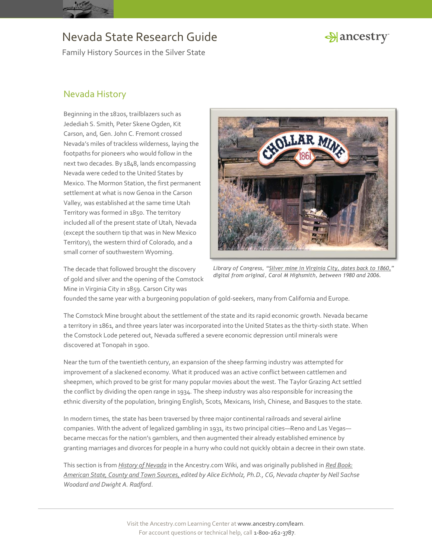

Family History Sources in the Silver State

## Hancestry

#### Nevada History

Beginning in the 1820s, trailblazers such as Jedediah S. Smith, Peter Skene Ogden, Kit Carson, and, Gen. John C. Fremont crossed Nevada's miles of trackless wilderness, laying the footpaths for pioneers who would follow in the next two decades. By 1848, lands encompassing Nevada were ceded to the United States by Mexico. The Mormon Station, the first permanent settlement at what is now Genoa in the Carson Valley, was established at the same time Utah Territory was formed in 1850. The territory included all of the present state of Utah, Nevada (except the southern tip that was in New Mexico Territory), the western third of Colorado, and a small corner of southwestern Wyoming.

The decade that followed brought the discovery of gold and silver and the opening of the Comstock Mine in Virginia City in 1859. Carson City was



*Library of Congress, "[Silver mine in Virginia City, dates back to 1860,](http://hdl.loc.gov/loc.pnp/highsm.12017)" digital from original, Carol M Highsmith, between 1980 and 2006.*

founded the same year with a burgeoning population of gold-seekers, many from California and Europe.

The Comstock Mine brought about the settlement of the state and its rapid economic growth. Nevada became a territory in 1861, and three years later was incorporated into the United States as the thirty-sixth state. When the Comstock Lode petered out, Nevada suffered a severe economic depression until minerals were discovered at Tonopah in 1900.

Near the turn of the twentieth century, an expansion of the sheep farming industry was attempted for improvement of a slackened economy. What it produced was an active conflict between cattlemen and sheepmen, which proved to be grist for many popular movies about the west. The Taylor Grazing Act settled the conflict by dividing the open range in 1934. The sheep industry was also responsible for increasing the ethnic diversity of the population, bringing English, Scots, Mexicans, Irish, Chinese, and Basques to the state.

In modern times, the state has been traversed by three major continental railroads and several airline companies. With the advent of legalized gambling in 1931, its two principal cities—Reno and Las Vegas became meccas for the nation's gamblers, and then augmented their already established eminence by granting marriages and divorces for people in a hurry who could not quickly obtain a decree in their own state.

This section is from *[History of Nevada](http://www.ancestry.com/wiki/index.php?title=History_of_Nevada)* in the Ancestry.com Wiki, and was originally published in *[Red Book:](http://bit.ly/vzy0vW)  [American State, County and Town Sources,](http://bit.ly/vzy0vW) edited by Alice Eichholz, Ph.D., CG, Nevada chapter by Nell Sachse Woodard and Dwight A. Radford*.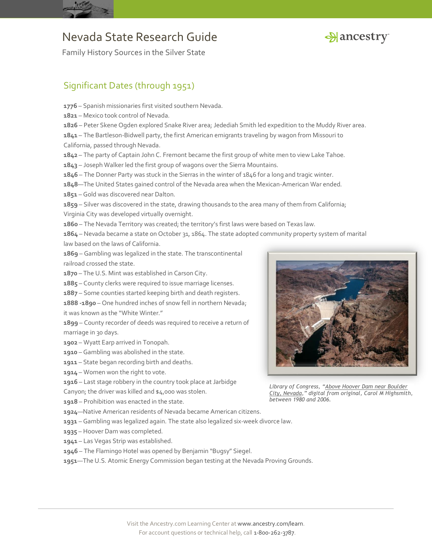



Family History Sources in the Silver State

### Significant Dates (through 1951)

– Spanish missionaries first visited southern Nevada.

- Mexico took control of Nevada.
- Peter Skene Ogden explored Snake River area; Jedediah Smith led expedition to the Muddy River area.

 – The Bartleson-Bidwell party, the first American emigrants traveling by wagon from Missouri to California, passed through Nevada.

- The party of Captain John C. Fremont became the first group of white men to view Lake Tahoe.
- Joseph Walker led the first group of wagons over the Sierra Mountains.

– The Donner Party was stuck in the Sierras in the winter of 1846 for a long and tragic winter.

—The United States gained control of the Nevada area when the Mexican-American War ended.

– Gold was discovered near Dalton.

 – Silver was discovered in the state, drawing thousands to the area many of them from California; Virginia City was developed virtually overnight.

– The Nevada Territory was created; the territory's first laws were based on Texas law.

 – Nevada became a state on October 31, 1864. The state adopted community property system of marital law based on the laws of California.

 – Gambling was legalized in the state. The transcontinental railroad crossed the state.

– The U.S. Mint was established in Carson City.

– County clerks were required to issue marriage licenses.

– Some counties started keeping birth and death registers.

**1888 -1890** – One hundred inches of snow fell in northern Nevada;

it was known as the "White Winter."

 – County recorder of deeds was required to receive a return of marriage in 30 days.

- Wyatt Earp arrived in Tonopah.
- Gambling was abolished in the state.
- State began recording birth and deaths.
- Women won the right to vote.

– Last stage robbery in the country took place at Jarbidge

Canyon; the driver was killed and \$4,000 was stolen.

– Prohibition was enacted in the state.

—Native American residents of Nevada became American citizens.

- Gambling was legalized again. The state also legalized six-week divorce law.
- Hoover Dam was completed.
- Las Vegas Strip was established.
- The Flamingo Hotel was opened by Benjamin "Bugsy" Siegel.
- —The U.S. Atomic Energy Commission began testing at the Nevada Proving Grounds.



*Library of Congress, "[Above Hoover Dam near Boulder](http://hdl.loc.gov/loc.pnp/highsm.12141)  [City,](http://hdl.loc.gov/loc.pnp/highsm.12141) [Nevada](http://hdl.loc.gov/loc.pnp/highsm.12141)," digital from original, Carol M Highsmith, between 1980 and 2006.*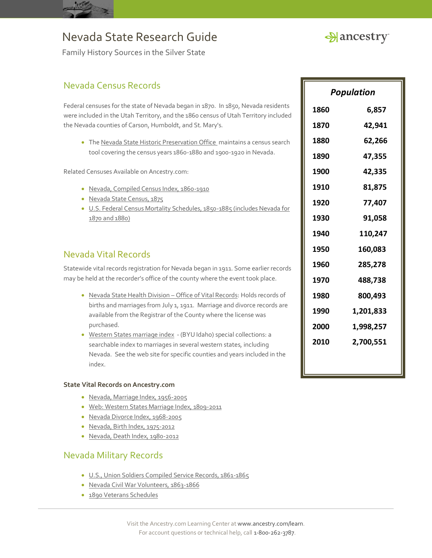



Family History Sources in the Silver State

#### Nevada Census Records

Federal censuses for the state of Nevada began in 1870. In 1850, Nevada residents were included in the Utah Territory, and the 1860 census of Utah Territory included the Nevada counties of Carson, Humboldt, and St. Mary's.

• Th[e Nevada State Historic Preservation Office](http://nvshpo.org/index.php?option=com_census&view=demographics&Itemid=388) maintains a census search tool covering the census years 1860-1880 and 1900-1920 in Nevada.

Related Censuses Available on Ancestry.com:

- [Nevada, Compiled Census Index, 1860-1910](http://search.ancestry.com/search/db.aspx?dbid=3560)
- · [Nevada State Census, 1875](http://search.ancestry.com/search/db.aspx?dbid=4873)
- [U.S. Federal Census Mortality Schedules, 1850-1885](http://search.ancestry.com/search/db.aspx?dbid=8756) (includes Nevada for 1870 and 1880)

#### Nevada Vital Records

Statewide vital records registration for Nevada began in 1911. Some earlier records may be held at the recorder's office of the county where the event took place.

- [Nevada State Health Division](http://health.nv.gov/VS.htm)  Office of Vital Records: Holds records of births and marriages from July 1, 1911. Marriage and divorce records are available from the Registrar of the County where the license was purchased.
- [Western States marriage index](http://abish.byui.edu/specialCollections/westernStates/search.cfm) (BYU Idaho) special collections: a searchable index to marriages in several western states, including Nevada. See the web site for specific counties and years included in the index.

#### **State Vital Records on Ancestry.com**

- [Nevada, Marriage Index, 1956-2005](http://search.ancestry.com/search/db.aspx?dbid=1100)
- [Web: Western States Marriage Index, 1809-2011](http://search.ancestry.com/search/db.aspx?dbid=70016)
- · [Nevada Divorce Index, 1968-2005](http://search.ancestry.com/search/db.aspx?dbid=1090)
- [Nevada, Birth Index, 1975-2012](http://search.ancestry.com/search/db.aspx?dbid=8998)
- [Nevada, Death Index, 1980-2012](http://search.ancestry.com/search/db.aspx?dbid=8997)

#### Nevada Military Records

- [U.S., Union Soldiers Compiled Service Records, 1861-1865](http://search.ancestry.com/search/db.aspx?dbid=2344)
- [Nevada Civil War Volunteers, 1863-1866](http://search.ancestry.com/search/db.aspx?dbid=3349)
- [1890 Veterans Schedules](http://search.ancestry.com/search/db.aspx?dbid=8667)

| Population |           |
|------------|-----------|
| 1860       | 6,857     |
| 1870       | 42,941    |
| 1880       | 62,266    |
| 1890       | 47,355    |
| 1900       | 42,335    |
| 1910       | 81,875    |
| 1920       | 77,407    |
| 1930       | 91,058    |
| 1940       | 110,247   |
| 1950       | 160,083   |
| 1960       | 285,278   |
| 1970       | 488,738   |
| 1980       | 800,493   |
| 1990       | 1,201,833 |
| 2000       | 1,998,257 |
| 2010       | 2,700,551 |
|            |           |